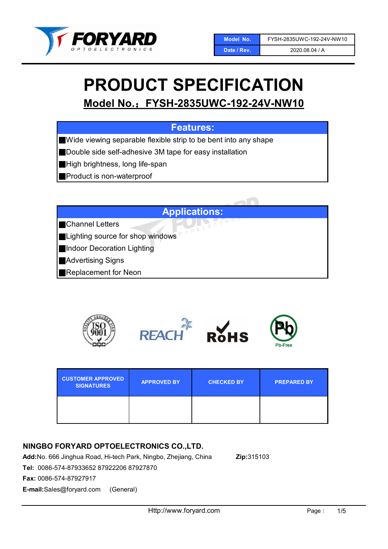

#### 2020.08.04 / A

# PRODUCT SPECIFICATION

# Model No.:FYSH-2835UWC-192-24V-NW10

## Features:

■Wide viewing separable flexible strip to be bent into any shape

■Double side self-adhesive 3M tape for easy installation

■High brightness, long life-span

■Product is non-waterproof

## Applications:

■Channel Letters

■Lighting source for shop windows

■Indoor Decoration Lighting

■Advertising Signs

■Replacement for Neon



| <b>CUSTOMER APPROVED</b><br><b>SIGNATURES</b> | <b>APPROVED BY</b> | <b>CHECKED BY</b> | <b>PREPARED BY</b> |
|-----------------------------------------------|--------------------|-------------------|--------------------|
|                                               |                    |                   |                    |

## NINGBO FORYARD OPTOELECTRONICS CO.,LTD.

Add:No. 666 Jinghua Road, Hi-tech Park, Ningbo, Zhejiang, China Zip:315103

Tel: 0086-574-87933652 87922206 87927870

Fax: 0086-574-87927917

E-mail:Sales@foryard.com (General)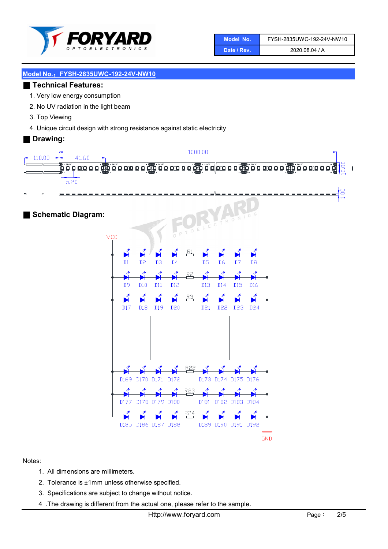

| Model No.   | FYSH-2835UWC-192-24V-NW10 |
|-------------|---------------------------|
| Date / Rev. | 2020.08.04 / A            |

#### ■ Technical Features:

- 1. Very low energy consumption
- 2. No UV radiation in the light beam
- 3. Top Viewing
- 4. Unique circuit design with strong resistance against static electricity

#### ■ Drawing:



■ Schematic Diagram:



Notes:

- 1. All dimensions are millimeters.
- 2. Tolerance is ±1mm unless otherwise specified.
- 3. Specifications are subject to change without notice.
- 4 .The drawing is different from the actual one, please refer to the sample.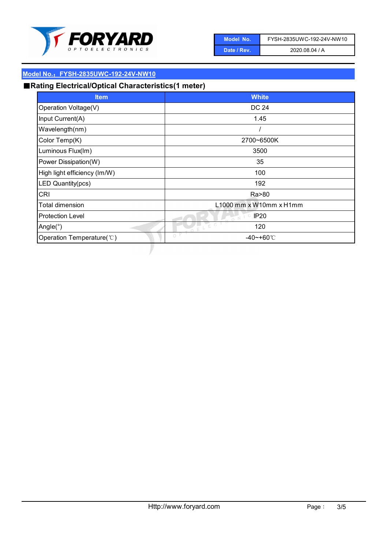

| Model No.   | FYSH-2835UWC-192-24V-NW10 |
|-------------|---------------------------|
| Date / Rev. | 2020.08.04 / A            |

# ■Rating Electrical/Optical Characteristics(1 meter)

| <b>Item</b>                  | <b>White</b>            |
|------------------------------|-------------------------|
| Operation Voltage(V)         | DC 24                   |
| Input Current(A)             | 1.45                    |
| Wavelength(nm)               |                         |
| Color Temp(K)                | 2700~6500K              |
| Luminous Flux(Im)            | 3500                    |
| Power Dissipation(W)         | 35                      |
| High light efficiency (Im/W) | 100                     |
| LED Quantity(pcs)            | 192                     |
| <b>CRI</b>                   | Ra>80                   |
| <b>Total dimension</b>       | L1000 mm x W10mm x H1mm |
| <b>Protection Level</b>      | IP <sub>20</sub><br>0 N |
| Angle $(°)$                  | ELEC<br>120             |
| Operation Temperature(°C)    | $\bigcirc$<br>-40~+60℃  |
|                              |                         |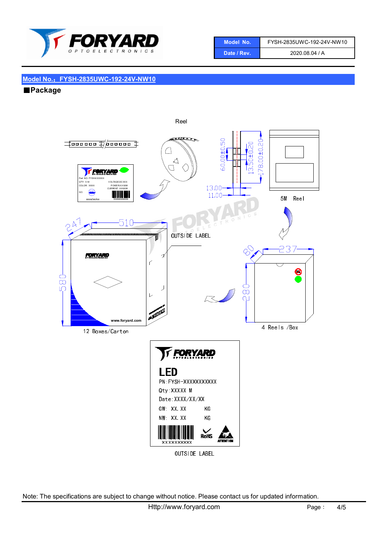

| Model No.'  | FYSH-2835UWC-192-24V-NW10 |
|-------------|---------------------------|
| Date / Rev. | 2020.08.04 / A            |

■Package



OUTSIDE LABEL

Note: The specifications are subject to change without notice. Please contact us for updated information.